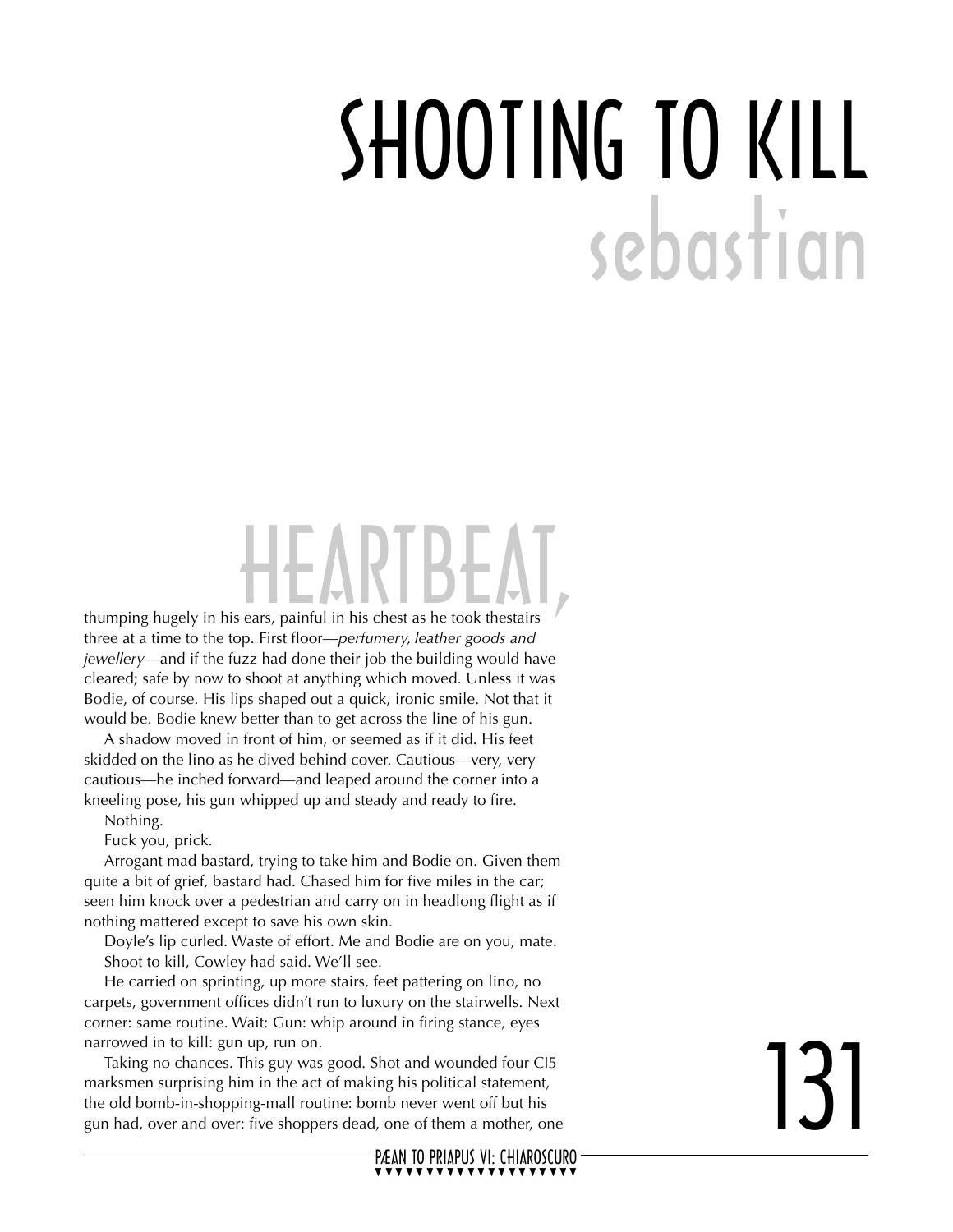## SHOOTING TO KILL sebastian

## HEARTBEAT

thumping hugely in his ears, painful in his chest as he took thestairs three at a time to the top. First floor—*perfumery, leather goods and jewellery*—and if the fuzz had done their job the building would have cleared; safe by now to shoot at anything which moved. Unless it was Bodie, of course. His lips shaped out a quick, ironic smile. Not that it would be. Bodie knew better than to get across the line of his gun.

A shadow moved in front of him, or seemed as if it did. His feet skidded on the lino as he dived behind cover. Cautious—very, very cautious—he inched forward—and leaped around the corner into a kneeling pose, his gun whipped up and steady and ready to fire.

Nothing.

Fuck you, prick.

Arrogant mad bastard, trying to take him and Bodie on. Given them quite a bit of grief, bastard had. Chased him for five miles in the car; seen him knock over a pedestrian and carry on in headlong flight as if nothing mattered except to save his own skin.

Doyle's lip curled. Waste of effort. Me and Bodie are on you, mate. Shoot to kill, Cowley had said. We'll see.

He carried on sprinting, up more stairs, feet pattering on lino, no carpets, government offices didn't run to luxury on the stairwells. Next corner: same routine. Wait: Gun: whip around in firing stance, eyes narrowed in to kill: gun up, run on.

Taking no chances. This guy was good. Shot and wounded four CI5 marksmen surprising him in the act of making his political statement, the old bomb-in-shopping-mall routine: bomb never went off but his gun had, over and over: five shoppers dead, one of them a mother, one

## 131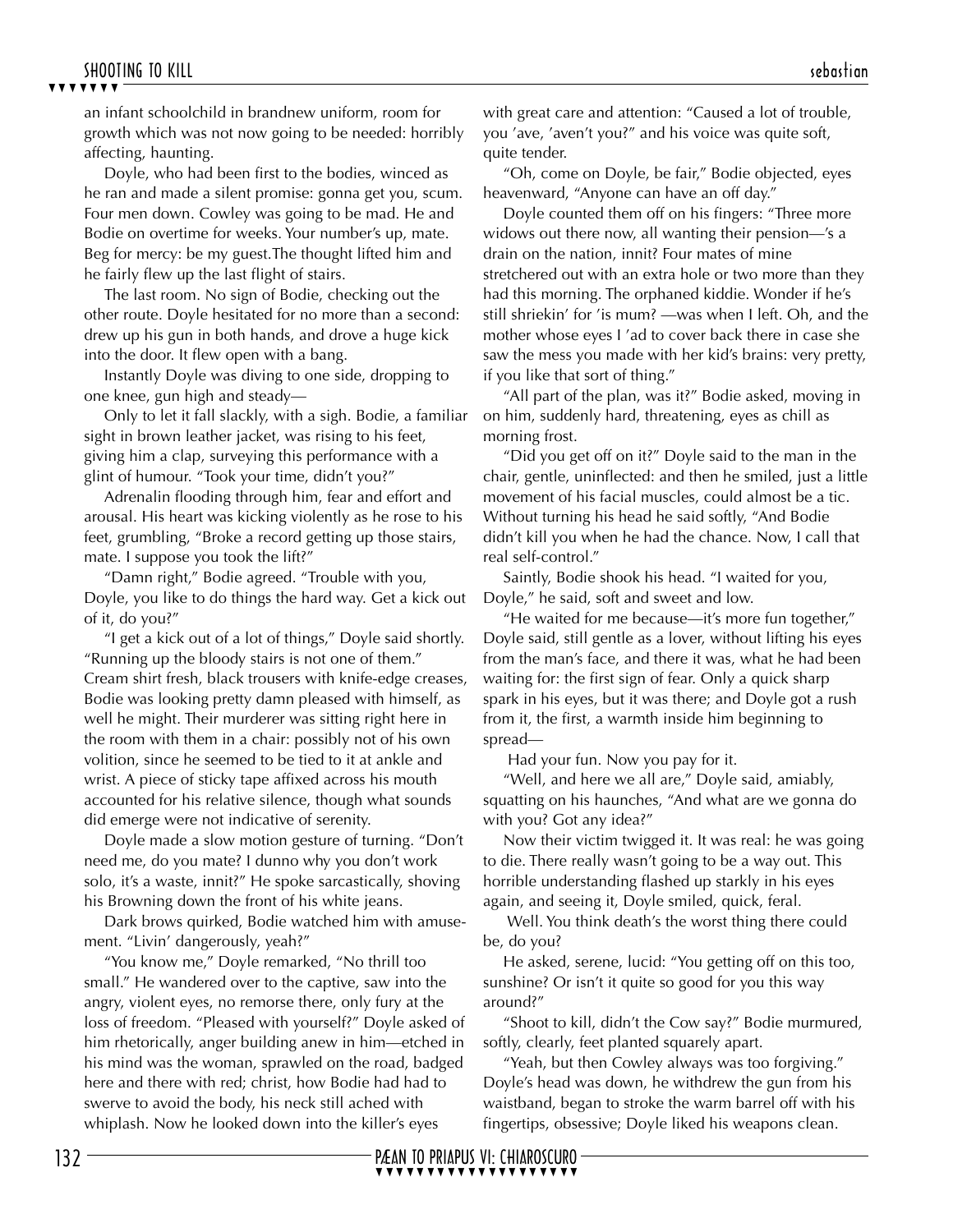**EXTIVITY**<br>an infant schoolchild in brandnew uniform, room for<br>growth which was not now going to be needed: horribly<br>effecting bounting affecting, haunting.

Doyle, who had been first to the bodies, winced as he ran and made a silent promise: gonna get you, scum. Four men down. Cowley was going to be mad. He and Bodie on overtime for weeks. Your number's up, mate. Beg for mercy: be my guest.The thought lifted him and he fairly flew up the last flight of stairs.

The last room. No sign of Bodie, checking out the other route. Doyle hesitated for no more than a second: drew up his gun in both hands, and drove a huge kick into the door. It flew open with a bang.

Instantly Doyle was diving to one side, dropping to one knee, gun high and steady—

Only to let it fall slackly, with a sigh. Bodie, a familiar sight in brown leather jacket, was rising to his feet, giving him a clap, surveying this performance with a glint of humour. "Took your time, didn't you?"

Adrenalin flooding through him, fear and effort and arousal. His heart was kicking violently as he rose to his feet, grumbling, "Broke a record getting up those stairs, mate. I suppose you took the lift?"

"Damn right," Bodie agreed. "Trouble with you, Doyle, you like to do things the hard way. Get a kick out of it, do you?"

"I get a kick out of a lot of things," Doyle said shortly. "Running up the bloody stairs is not one of them." Cream shirt fresh, black trousers with knife-edge creases, Bodie was looking pretty damn pleased with himself, as well he might. Their murderer was sitting right here in the room with them in a chair: possibly not of his own volition, since he seemed to be tied to it at ankle and wrist. A piece of sticky tape affixed across his mouth accounted for his relative silence, though what sounds did emerge were not indicative of serenity.

Doyle made a slow motion gesture of turning. "Don't need me, do you mate? I dunno why you don't work solo, it's a waste, innit?" He spoke sarcastically, shoving his Browning down the front of his white jeans.

Dark brows quirked, Bodie watched him with amusement. "Livin' dangerously, yeah?"

"You know me," Doyle remarked, "No thrill too small." He wandered over to the captive, saw into the angry, violent eyes, no remorse there, only fury at the loss of freedom. "Pleased with yourself?" Doyle asked of him rhetorically, anger building anew in him—etched in his mind was the woman, sprawled on the road, badged here and there with red; christ, how Bodie had had to swerve to avoid the body, his neck still ached with whiplash. Now he looked down into the killer's eyes

with great care and attention: "Caused a lot of trouble, you 'ave, 'aven't you?" and his voice was quite soft, quite tender.

"Oh, come on Doyle, be fair," Bodie objected, eyes heavenward, "Anyone can have an off day."

Doyle counted them off on his fingers: "Three more widows out there now, all wanting their pension—'s a drain on the nation, innit? Four mates of mine stretchered out with an extra hole or two more than they had this morning. The orphaned kiddie. Wonder if he's still shriekin' for 'is mum? —was when I left. Oh, and the mother whose eyes I 'ad to cover back there in case she saw the mess you made with her kid's brains: very pretty, if you like that sort of thing."

"All part of the plan, was it?" Bodie asked, moving in on him, suddenly hard, threatening, eyes as chill as morning frost.

"Did you get off on it?" Doyle said to the man in the chair, gentle, uninflected: and then he smiled, just a little movement of his facial muscles, could almost be a tic. Without turning his head he said softly, "And Bodie didn't kill you when he had the chance. Now, I call that real self-control."

Saintly, Bodie shook his head. "I waited for you, Doyle," he said, soft and sweet and low.

"He waited for me because—it's more fun together," Doyle said, still gentle as a lover, without lifting his eyes from the man's face, and there it was, what he had been waiting for: the first sign of fear. Only a quick sharp spark in his eyes, but it was there; and Doyle got a rush from it, the first, a warmth inside him beginning to spread—

Had your fun. Now you pay for it.

"Well, and here we all are," Doyle said, amiably, squatting on his haunches, "And what are we gonna do with you? Got any idea?"

Now their victim twigged it. It was real: he was going to die. There really wasn't going to be a way out. This horrible understanding flashed up starkly in his eyes again, and seeing it, Doyle smiled, quick, feral.

 Well. You think death's the worst thing there could be, do you?

He asked, serene, lucid: "You getting off on this too, sunshine? Or isn't it quite so good for you this way around?"

"Shoot to kill, didn't the Cow say?" Bodie murmured, softly, clearly, feet planted squarely apart.

"Yeah, but then Cowley always was too forgiving." Doyle's head was down, he withdrew the gun from his waistband, began to stroke the warm barrel off with his fingertips, obsessive; Doyle liked his weapons clean.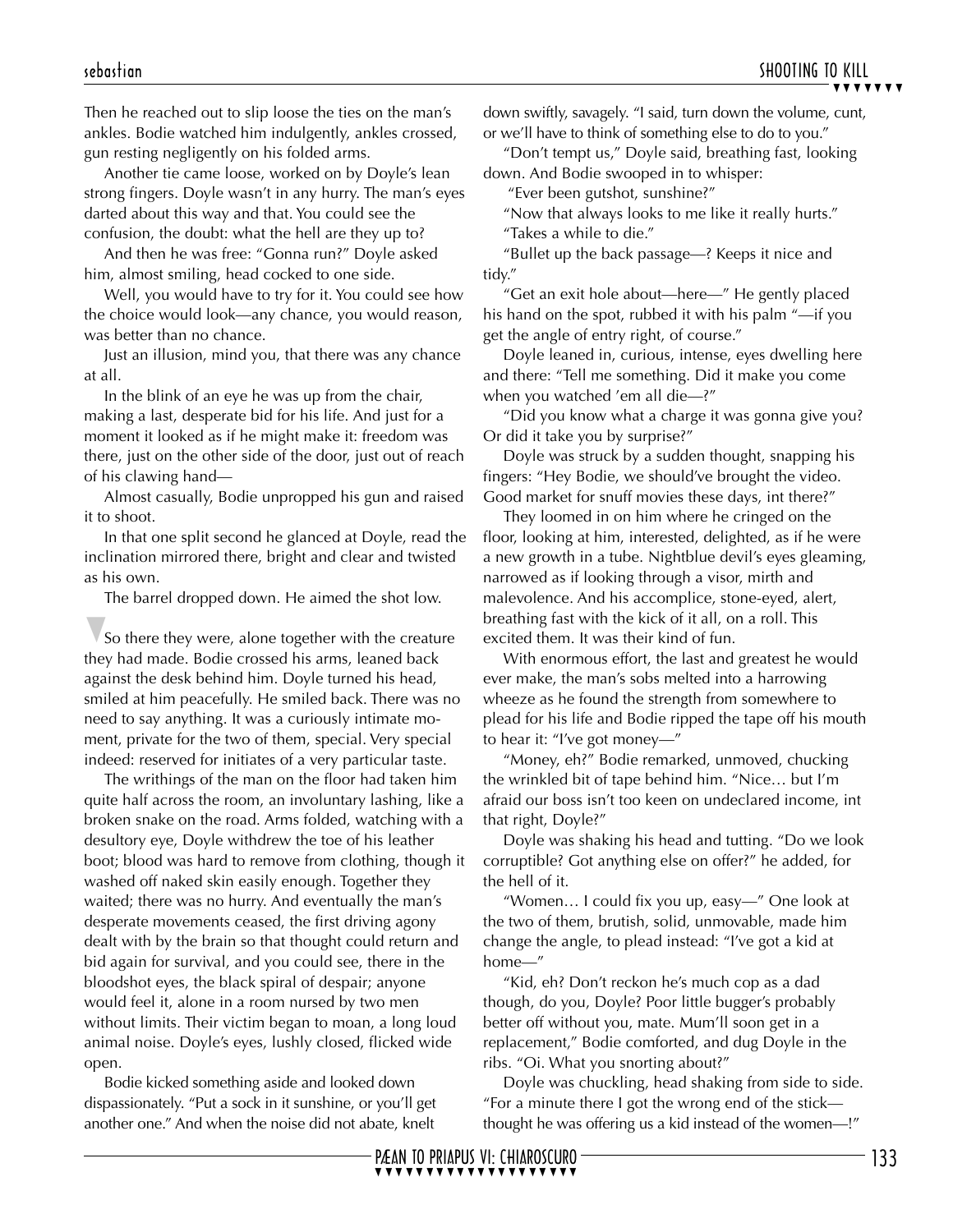Then he reached out to slip loose the ties on the man's ankles. Bodie watched him indulgently, ankles crossed, gun resting negligently on his folded arms.

Another tie came loose, worked on by Doyle's lean strong fingers. Doyle wasn't in any hurry. The man's eyes darted about this way and that. You could see the confusion, the doubt: what the hell are they up to?

And then he was free: "Gonna run?" Doyle asked him, almost smiling, head cocked to one side.

Well, you would have to try for it. You could see how the choice would look—any chance, you would reason, was better than no chance.

Just an illusion, mind you, that there was any chance at all.

In the blink of an eye he was up from the chair, making a last, desperate bid for his life. And just for a moment it looked as if he might make it: freedom was there, just on the other side of the door, just out of reach of his clawing hand—

Almost casually, Bodie unpropped his gun and raised it to shoot.

In that one split second he glanced at Doyle, read the inclination mirrored there, bright and clear and twisted as his own.

The barrel dropped down. He aimed the shot low.

som<br>
space<br>
space<br>
space<br>
space<br>
med<br>
indee<br>
The quite<br>
hroke So there they were, alone together with the creature they had made. Bodie crossed his arms, leaned back against the desk behind him. Doyle turned his head, smiled at him peacefully. He smiled back. There was no need to say anything. It was a curiously intimate moment, private for the two of them, special. Very special indeed: reserved for initiates of a very particular taste.

The writhings of the man on the floor had taken him quite half across the room, an involuntary lashing, like a broken snake on the road. Arms folded, watching with a desultory eye, Doyle withdrew the toe of his leather boot; blood was hard to remove from clothing, though it washed off naked skin easily enough. Together they waited; there was no hurry. And eventually the man's desperate movements ceased, the first driving agony dealt with by the brain so that thought could return and bid again for survival, and you could see, there in the bloodshot eyes, the black spiral of despair; anyone would feel it, alone in a room nursed by two men without limits. Their victim began to moan, a long loud animal noise. Doyle's eyes, lushly closed, flicked wide open.

Bodie kicked something aside and looked down dispassionately. "Put a sock in it sunshine, or you'll get another one." And when the noise did not abate, knelt

 $\overline{y}$  $\overline{y}$  $\overline{y}$  $\overline{y}$  $\overline{y}$  $\overline{y}$ down swiftly, savagely. "I said, turn down the volume, cunt, or we'll have to think of something else to do to you."

"Don't tempt us," Doyle said, breathing fast, looking down. And Bodie swooped in to whisper:

"Ever been gutshot, sunshine?"

"Now that always looks to me like it really hurts." "Takes a while to die."

"Bullet up the back passage—? Keeps it nice and tidy."

"Get an exit hole about—here—" He gently placed his hand on the spot, rubbed it with his palm "—if you get the angle of entry right, of course."

Doyle leaned in, curious, intense, eyes dwelling here and there: "Tell me something. Did it make you come when you watched 'em all die—?"

"Did you know what a charge it was gonna give you? Or did it take you by surprise?"

Doyle was struck by a sudden thought, snapping his fingers: "Hey Bodie, we should've brought the video. Good market for snuff movies these days, int there?"

They loomed in on him where he cringed on the floor, looking at him, interested, delighted, as if he were a new growth in a tube. Nightblue devil's eyes gleaming, narrowed as if looking through a visor, mirth and malevolence. And his accomplice, stone-eyed, alert, breathing fast with the kick of it all, on a roll. This excited them. It was their kind of fun.

With enormous effort, the last and greatest he would ever make, the man's sobs melted into a harrowing wheeze as he found the strength from somewhere to plead for his life and Bodie ripped the tape off his mouth to hear it: "I've got money—"

"Money, eh?" Bodie remarked, unmoved, chucking the wrinkled bit of tape behind him. "Nice… but I'm afraid our boss isn't too keen on undeclared income, int that right, Doyle?"

Doyle was shaking his head and tutting. "Do we look corruptible? Got anything else on offer?" he added, for the hell of it.

"Women… I could fix you up, easy—" One look at the two of them, brutish, solid, unmovable, made him change the angle, to plead instead: "I've got a kid at home—"

"Kid, eh? Don't reckon he's much cop as a dad though, do you, Doyle? Poor little bugger's probably better off without you, mate. Mum'll soon get in a replacement," Bodie comforted, and dug Doyle in the ribs. "Oi. What you snorting about?"

Doyle was chuckling, head shaking from side to side. "For a minute there I got the wrong end of the stick thought he was offering us a kid instead of the women—!"